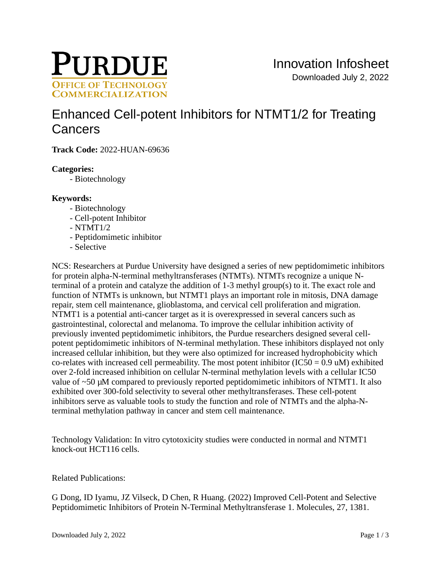

# [Enhanced Cell-potent Inhibitors for NTMT1/2 for Treating](https://inventions.prf.org/innovation/8248)  **Cancers**

**Track Code:** 2022-HUAN-69636

# **Categories:**

- Biotechnology

# **Keywords:**

- Biotechnology
- Cell-potent Inhibitor
- $N T M T 1/2$
- Peptidomimetic inhibitor
- Selective

NCS: Researchers at Purdue University have designed a series of new peptidomimetic inhibitors for protein alpha-N-terminal methyltransferases (NTMTs). NTMTs recognize a unique Nterminal of a protein and catalyze the addition of 1-3 methyl group(s) to it. The exact role and function of NTMTs is unknown, but NTMT1 plays an important role in mitosis, DNA damage repair, stem cell maintenance, glioblastoma, and cervical cell proliferation and migration. NTMT1 is a potential anti-cancer target as it is overexpressed in several cancers such as gastrointestinal, colorectal and melanoma. To improve the cellular inhibition activity of previously invented peptidomimetic inhibitors, the Purdue researchers designed several cellpotent peptidomimetic inhibitors of N-terminal methylation. These inhibitors displayed not only increased cellular inhibition, but they were also optimized for increased hydrophobicity which co-relates with increased cell permeability. The most potent inhibitor  $(IC50 = 0.9 \text{ u})$  exhibited over 2-fold increased inhibition on cellular N-terminal methylation levels with a cellular IC50 value of  $\sim$ 50  $\mu$ M compared to previously reported peptidomimetic inhibitors of NTMT1. It also exhibited over 300-fold selectivity to several other methyltransferases. These cell-potent inhibitors serve as valuable tools to study the function and role of NTMTs and the alpha-Nterminal methylation pathway in cancer and stem cell maintenance.

Technology Validation: In vitro cytotoxicity studies were conducted in normal and NTMT1 knock-out HCT116 cells.

Related Publications:

G Dong, ID Iyamu, JZ Vilseck, D Chen, R Huang. (2022) Improved Cell-Potent and Selective Peptidomimetic Inhibitors of Protein N-Terminal Methyltransferase 1. Molecules, 27, 1381.